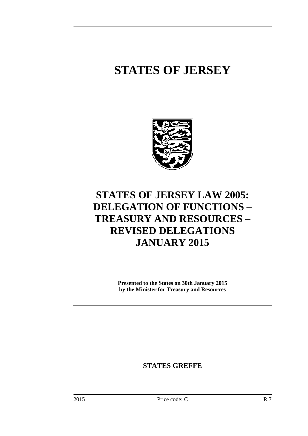# **STATES OF JERSEY**



## **STATES OF JERSEY LAW 2005: DELEGATION OF FUNCTIONS – TREASURY AND RESOURCES – REVISED DELEGATIONS JANUARY 2015**

**Presented to the States on 30th January 2015 by the Minister for Treasury and Resources** 

**STATES GREFFE**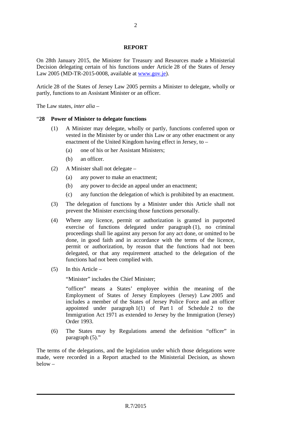#### **REPORT**

On 28th January 2015, the Minister for Treasury and Resources made a Ministerial Decision delegating certain of his functions under Article 28 of the States of Jersey Law 2005 (MD-TR-2015-0008, available at www.gov.je).

Article 28 of the States of Jersey Law 2005 permits a Minister to delegate, wholly or partly, functions to an Assistant Minister or an officer.

The Law states, *inter alia* –

#### "**28 Power of Minister to delegate functions**

- (1) A Minister may delegate, wholly or partly, functions conferred upon or vested in the Minister by or under this Law or any other enactment or any enactment of the United Kingdom having effect in Jersey, to –
	- (a) one of his or her Assistant Ministers;
	- (b) an officer.
- (2) A Minister shall not delegate
	- (a) any power to make an enactment;
	- (b) any power to decide an appeal under an enactment;
	- (c) any function the delegation of which is prohibited by an enactment.
- (3) The delegation of functions by a Minister under this Article shall not prevent the Minister exercising those functions personally.
- (4) Where any licence, permit or authorization is granted in purported exercise of functions delegated under paragraph (1), no criminal proceedings shall lie against any person for any act done, or omitted to be done, in good faith and in accordance with the terms of the licence, permit or authorization, by reason that the functions had not been delegated, or that any requirement attached to the delegation of the functions had not been complied with.
- (5) In this Article –

"Minister" includes the Chief Minister;

"officer" means a States' employee within the meaning of the Employment of States of Jersey Employees (Jersey) Law 2005 and includes a member of the States of Jersey Police Force and an officer appointed under paragraph 1(1) of Part 1 of Schedule 2 to the Immigration Act 1971 as extended to Jersey by the Immigration (Jersey) Order 1993.

(6) The States may by Regulations amend the definition "officer" in paragraph (5)."

The terms of the delegations, and the legislation under which those delegations were made, were recorded in a Report attached to the Ministerial Decision, as shown below –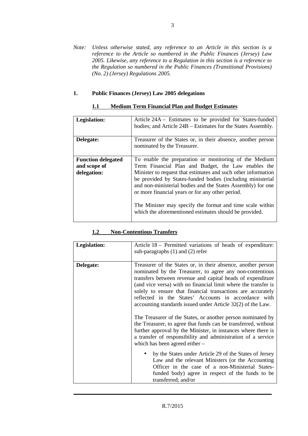*Note: Unless otherwise stated, any reference to an Article in this section is a reference to the Article so numbered in the Public Finances (Jersey) Law 2005. Likewise, any reference to a Regulation in this section is a reference to the Regulation so numbered in the Public Finances (Transitional Provisions) (No. 2) (Jersey) Regulations 2005.* 

#### **1. Public Finances (Jersey) Law 2005 delegations**

| Legislation:              | Article 24A – Estimates to be provided for States-funded<br>bodies; and Article 24B – Estimates for the States Assembly.                                                                                                                       |
|---------------------------|------------------------------------------------------------------------------------------------------------------------------------------------------------------------------------------------------------------------------------------------|
| Delegate:                 | Treasurer of the States or, in their absence, another person<br>nominated by the Treasurer.                                                                                                                                                    |
| <b>Function delegated</b> | To enable the preparation or monitoring of the Medium                                                                                                                                                                                          |
| and scope of              | Term Financial Plan and Budget, the Law enables the                                                                                                                                                                                            |
| delegation:               | Minister to request that estimates and such other information<br>be provided by States-funded bodies (including ministerial<br>and non-ministerial bodies and the States Assembly) for one<br>or more financial years or for any other period. |
|                           | The Minister may specify the format and time scale within<br>which the aforementioned estimates should be provided.                                                                                                                            |

#### **1.1 Medium Term Financial Plan and Budget Estimates**

#### **1.2 Non-Contentious Transfers**

| Legislation: | Article 18 – Permitted variations of heads of expenditure:<br>sub-paragraphs $(1)$ and $(2)$ refer                                                                                                                                                                                                                                                                                                                                             |
|--------------|------------------------------------------------------------------------------------------------------------------------------------------------------------------------------------------------------------------------------------------------------------------------------------------------------------------------------------------------------------------------------------------------------------------------------------------------|
| Delegate:    | Treasurer of the States or, in their absence, another person<br>nominated by the Treasurer, to agree any non-contentious<br>transfers between revenue and capital heads of expenditure<br>(and vice versa) with no financial limit where the transfer is<br>solely to ensure that financial transactions are accurately<br>reflected in the States' Accounts in accordance with<br>accounting standards issued under Article 32(2) of the Law. |
|              | The Treasurer of the States, or another person nominated by<br>the Treasurer, to agree that funds can be transferred, without<br>further approval by the Minister, in instances where there is<br>a transfer of responsibility and administration of a service<br>which has been agreed either $-$                                                                                                                                             |
|              | by the States under Article 29 of the States of Jersey<br>Law and the relevant Ministers (or the Accounting<br>Officer in the case of a non-Ministerial States-<br>funded body) agree in respect of the funds to be<br>transferred; and/or                                                                                                                                                                                                     |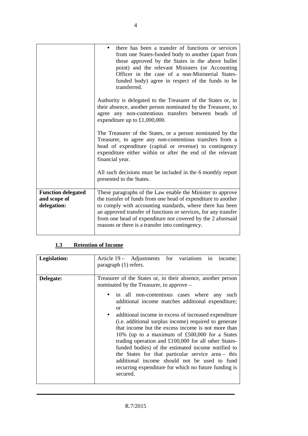|                                                          | there has been a transfer of functions or services<br>from one States-funded body to another (apart from<br>those approved by the States in the above bullet<br>point) and the relevant Ministers (or Accounting<br>Officer in the case of a non-Ministerial States-<br>funded body) agree in respect of the funds to be<br>transferred.                                       |
|----------------------------------------------------------|--------------------------------------------------------------------------------------------------------------------------------------------------------------------------------------------------------------------------------------------------------------------------------------------------------------------------------------------------------------------------------|
|                                                          | Authority is delegated to the Treasurer of the States or, in<br>their absence, another person nominated by the Treasurer, to<br>agree any non-contentious transfers between heads of<br>expenditure up to £1,000,000.                                                                                                                                                          |
|                                                          | The Treasurer of the States, or a person nominated by the<br>Treasurer, to agree any non-contentious transfers from a<br>head of expenditure (capital or revenue) to contingency<br>expenditure either within or after the end of the relevant<br>financial year.                                                                                                              |
|                                                          | All such decisions must be included in the 6 monthly report<br>presented to the States.                                                                                                                                                                                                                                                                                        |
| <b>Function delegated</b><br>and scope of<br>delegation: | These paragraphs of the Law enable the Minister to approve<br>the transfer of funds from one head of expenditure to another<br>to comply with accounting standards, where there has been<br>an approved transfer of functions or services, for any transfer<br>from one head of expenditure not covered by the 2 aforesaid<br>reasons or there is a transfer into contingency. |

## **1.3 Retention of Income**

| Legislation: | Article 19 - Adjustments for variations in<br>income:<br>paragraph (1) refers.                                                                                                                                                                                                                                                                                                                                                                                                                                                                                                                                                                                                                                                                    |
|--------------|---------------------------------------------------------------------------------------------------------------------------------------------------------------------------------------------------------------------------------------------------------------------------------------------------------------------------------------------------------------------------------------------------------------------------------------------------------------------------------------------------------------------------------------------------------------------------------------------------------------------------------------------------------------------------------------------------------------------------------------------------|
| Delegate:    | Treasurer of the States or, in their absence, another person<br>nominated by the Treasurer, to approve –<br>in all non-contentious cases where any<br>such<br>additional income matches additional expenditure;<br>or<br>additional income in excess of increased expenditure<br>$\bullet$<br>(i.e. additional surplus income) required to generate<br>that income but the excess income is not more than<br>10% (up to a maximum of £500,000 for a States<br>trading operation and £100,000 for all other States-<br>funded bodies) of the estimated income notified to<br>the States for that particular service area- this<br>additional income should not be used to fund<br>recurring expenditure for which no future funding is<br>secured. |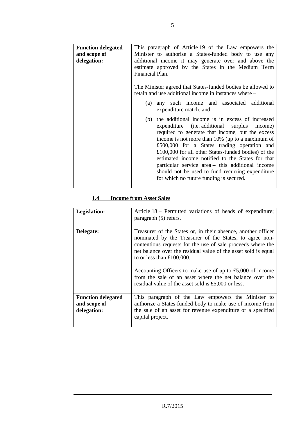| <b>Function delegated</b> | This paragraph of Article 19 of the Law empowers the        |
|---------------------------|-------------------------------------------------------------|
| and scope of              | Minister to authorise a States-funded body to use any       |
| delegation:               | additional income it may generate over and above the        |
|                           | estimate approved by the States in the Medium Term          |
|                           | Financial Plan.                                             |
|                           |                                                             |
|                           | The Minister agreed that States-funded bodies be allowed to |
|                           | retain and use additional income in instances where –       |
|                           |                                                             |
|                           | any such income and associated additional<br>(a)            |
|                           | expenditure match; and                                      |
|                           |                                                             |
|                           | the additional income is in excess of increased<br>(b)      |
|                           | expenditure (i.e. additional surplus income)                |
|                           | required to generate that income, but the excess            |
|                           | income is not more than 10% (up to a maximum of             |
|                           | £500,000 for a States trading operation and                 |
|                           | £100,000 for all other States-funded bodies) of the         |
|                           | estimated income notified to the States for that            |
|                           |                                                             |
|                           | particular service area - this additional income            |
|                           | should not be used to fund recurring expenditure            |
|                           | for which no future funding is secured.                     |
|                           |                                                             |

## **1.4 Income from Asset Sales**

| Legislation:                                             | Article 18 – Permitted variations of heads of expenditure;<br>paragraph (5) refers.                                                                                                                                                                                                                                                                                                                                                                                       |
|----------------------------------------------------------|---------------------------------------------------------------------------------------------------------------------------------------------------------------------------------------------------------------------------------------------------------------------------------------------------------------------------------------------------------------------------------------------------------------------------------------------------------------------------|
| Delegate:                                                | Treasurer of the States or, in their absence, another officer<br>nominated by the Treasurer of the States, to agree non-<br>contentious requests for the use of sale proceeds where the<br>net balance over the residual value of the asset sold is equal<br>to or less than $£100,000$ .<br>Accounting Officers to make use of up to £5,000 of income<br>from the sale of an asset where the net balance over the<br>residual value of the asset sold is £5,000 or less. |
| <b>Function delegated</b><br>and scope of<br>delegation: | This paragraph of the Law empowers the Minister to<br>authorize a States-funded body to make use of income from<br>the sale of an asset for revenue expenditure or a specified<br>capital project.                                                                                                                                                                                                                                                                        |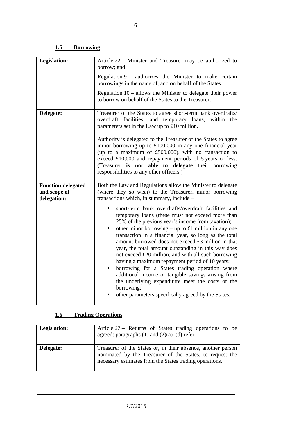#### **1.5 Borrowing**

| <b>Legislation:</b>                                      | Article 22 - Minister and Treasurer may be authorized to<br>borrow; and                                                                                                                                                                                                                                                                                                                                                                                                                                                                                                                                                                                                                                                                  |
|----------------------------------------------------------|------------------------------------------------------------------------------------------------------------------------------------------------------------------------------------------------------------------------------------------------------------------------------------------------------------------------------------------------------------------------------------------------------------------------------------------------------------------------------------------------------------------------------------------------------------------------------------------------------------------------------------------------------------------------------------------------------------------------------------------|
|                                                          | Regulation 9 – authorizes the Minister to make certain<br>borrowings in the name of, and on behalf of the States.                                                                                                                                                                                                                                                                                                                                                                                                                                                                                                                                                                                                                        |
|                                                          | Regulation $10$ – allows the Minister to delegate their power<br>to borrow on behalf of the States to the Treasurer.                                                                                                                                                                                                                                                                                                                                                                                                                                                                                                                                                                                                                     |
| Delegate:                                                | Treasurer of the States to agree short-term bank overdrafts/<br>overdraft facilities, and temporary loans, within the<br>parameters set in the Law up to £10 million.<br>Authority is delegated to the Treasurer of the States to agree<br>minor borrowing up to $£100,000$ in any one financial year<br>(up to a maximum of £500,000), with no transaction to<br>exceed £10,000 and repayment periods of 5 years or less.<br>(Treasurer is not able to delegate their borrowing<br>responsibilities to any other officers.)                                                                                                                                                                                                             |
| <b>Function delegated</b><br>and scope of<br>delegation: | Both the Law and Regulations allow the Minister to delegate<br>(where they so wish) to the Treasurer, minor borrowing<br>transactions which, in summary, include -                                                                                                                                                                                                                                                                                                                                                                                                                                                                                                                                                                       |
|                                                          | short-term bank overdrafts/overdraft facilities and<br>temporary loans (these must not exceed more than<br>25% of the previous year's income from taxation);<br>other minor borrowing – up to £1 million in any one<br>٠<br>transaction in a financial year, so long as the total<br>amount borrowed does not exceed £3 million in that<br>year, the total amount outstanding in this way does<br>not exceed £20 million, and with all such borrowing<br>having a maximum repayment period of 10 years;<br>borrowing for a States trading operation where<br>additional income or tangible savings arising from<br>the underlying expenditure meet the costs of the<br>borrowing;<br>other parameters specifically agreed by the States. |

#### **1.6 Trading Operations**

| Legislation: | Article 27 – Returns of States trading operations to be<br>agreed: paragraphs $(1)$ and $(2)(a)$ – $(d)$ refer.                                                                     |
|--------------|-------------------------------------------------------------------------------------------------------------------------------------------------------------------------------------|
| Delegate:    | Treasurer of the States or, in their absence, another person<br>nominated by the Treasurer of the States, to request the<br>necessary estimates from the States trading operations. |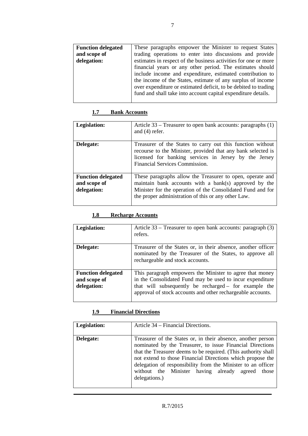| <b>Function delegated</b> | These paragraphs empower the Minister to request States         |
|---------------------------|-----------------------------------------------------------------|
| and scope of              | trading operations to enter into discussions and provide        |
| delegation:               | estimates in respect of the business activities for one or more |
|                           | financial years or any other period. The estimates should       |
|                           | include income and expenditure, estimated contribution to       |
|                           | the income of the States, estimate of any surplus of income     |
|                           | over expenditure or estimated deficit, to be debited to trading |
|                           | fund and shall take into account capital expenditure details.   |
|                           |                                                                 |

#### **1.7 Bank Accounts**

| Legislation:                                             | Article 33 – Treasurer to open bank accounts: paragraphs (1)<br>and $(4)$ refer.                                                                                                                                                         |
|----------------------------------------------------------|------------------------------------------------------------------------------------------------------------------------------------------------------------------------------------------------------------------------------------------|
| Delegate:                                                | Treasurer of the States to carry out this function without<br>recourse to the Minister, provided that any bank selected is<br>licensed for banking services in Jersey by the Jersey<br>Financial Services Commission.                    |
| <b>Function delegated</b><br>and scope of<br>delegation: | These paragraphs allow the Treasurer to open, operate and<br>maintain bank accounts with a bank(s) approved by the<br>Minister for the operation of the Consolidated Fund and for<br>the proper administration of this or any other Law. |

#### **1.8 Recharge Accounts**

| Legislation:                                             | Article 33 – Treasurer to open bank accounts: paragraph (3)<br>refers.                                                                                                                                                                        |
|----------------------------------------------------------|-----------------------------------------------------------------------------------------------------------------------------------------------------------------------------------------------------------------------------------------------|
| Delegate:                                                | Treasurer of the States or, in their absence, another officer<br>nominated by the Treasurer of the States, to approve all<br>rechargeable and stock accounts.                                                                                 |
| <b>Function delegated</b><br>and scope of<br>delegation: | This paragraph empowers the Minister to agree that money<br>in the Consolidated Fund may be used to incur expenditure<br>that will subsequently be recharged - for example the<br>approval of stock accounts and other rechargeable accounts. |

## **1.9 Financial Directions**

| Legislation: | Article 34 – Financial Directions.                                                                                                                                                                                                                                                                                                                                                             |
|--------------|------------------------------------------------------------------------------------------------------------------------------------------------------------------------------------------------------------------------------------------------------------------------------------------------------------------------------------------------------------------------------------------------|
| Delegate:    | Treasurer of the States or, in their absence, another person<br>nominated by the Treasurer, to issue Financial Directions<br>that the Treasurer deems to be required. (This authority shall<br>not extend to those Financial Directions which propose the<br>delegation of responsibility from the Minister to an officer<br>without the Minister having already agreed those<br>delegations.) |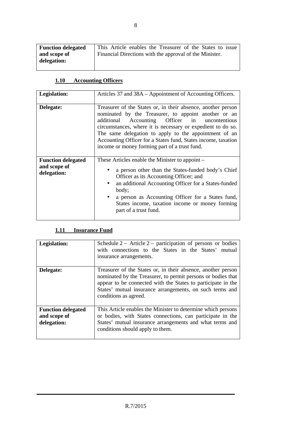| <b>Function delegated</b>   | This Article enables the Treasurer of the States to issue |
|-----------------------------|-----------------------------------------------------------|
| and scope of<br>delegation: | Financial Directions with the approval of the Minister.   |

## **1.10 Accounting Officers**

| Legislation:                                             | Articles 37 and 38A – Appointment of Accounting Officers.                                                                                                                                                                                                                                                                                                                                                           |
|----------------------------------------------------------|---------------------------------------------------------------------------------------------------------------------------------------------------------------------------------------------------------------------------------------------------------------------------------------------------------------------------------------------------------------------------------------------------------------------|
| Delegate:                                                | Treasurer of the States or, in their absence, another person<br>nominated by the Treasurer, to appoint another or an<br>Accounting Officer in uncontentious<br>additional<br>circumstances, where it is necessary or expedient to do so.<br>The same delegation to apply to the appointment of an<br>Accounting Officer for a States fund, States income, taxation<br>income or money forming part of a trust fund. |
| <b>Function delegated</b><br>and scope of<br>delegation: | These Articles enable the Minister to appoint –<br>a person other than the States-funded body's Chief<br>Officer as its Accounting Officer; and<br>an additional Accounting Officer for a States-funded<br>body;<br>a person as Accounting Officer for a States fund,<br>$\bullet$<br>States income, taxation income or money forming<br>part of a trust fund.                                                      |

#### **1.11 Insurance Fund**

| Legislation:                                             | Schedule $2 -$ Article $2 -$ participation of persons or bodies<br>with connections to the States in the States' mutual<br>insurance arrangements.                                                                                                                                |
|----------------------------------------------------------|-----------------------------------------------------------------------------------------------------------------------------------------------------------------------------------------------------------------------------------------------------------------------------------|
| Delegate:                                                | Treasurer of the States or, in their absence, another person<br>nominated by the Treasurer, to permit persons or bodies that<br>appear to be connected with the States to participate in the<br>States' mutual insurance arrangements, on such terms and<br>conditions as agreed. |
| <b>Function delegated</b><br>and scope of<br>delegation: | This Article enables the Minister to determine which persons<br>or bodies, with States connections, can participate in the<br>States' mutual insurance arrangements and what terms and<br>conditions should apply to them.                                                        |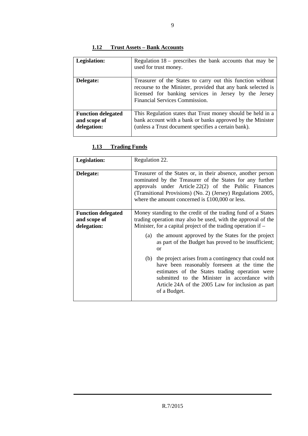#### **1.12 Trust Assets – Bank Accounts**

| Legislation:                                             | Regulation $18$ – prescribes the bank accounts that may be<br>used for trust money.                                                                                                                                   |
|----------------------------------------------------------|-----------------------------------------------------------------------------------------------------------------------------------------------------------------------------------------------------------------------|
| Delegate:                                                | Treasurer of the States to carry out this function without<br>recourse to the Minister, provided that any bank selected is<br>licensed for banking services in Jersey by the Jersey<br>Financial Services Commission. |
| <b>Function delegated</b><br>and scope of<br>delegation: | This Regulation states that Trust money should be held in a<br>bank account with a bank or banks approved by the Minister<br>(unless a Trust document specifies a certain bank).                                      |

#### **1.13 Trading Funds**

| Legislation:                                             | Regulation 22.                                                                                                                                                                                                                                                                                        |
|----------------------------------------------------------|-------------------------------------------------------------------------------------------------------------------------------------------------------------------------------------------------------------------------------------------------------------------------------------------------------|
| Delegate:                                                | Treasurer of the States or, in their absence, another person<br>nominated by the Treasurer of the States for any further<br>approvals under Article 22(2) of the Public Finances<br>(Transitional Provisions) (No. 2) (Jersey) Regulations 2005,<br>where the amount concerned is $£100,000$ or less. |
| <b>Function delegated</b><br>and scope of<br>delegation: | Money standing to the credit of the trading fund of a States<br>trading operation may also be used, with the approval of the<br>Minister, for a capital project of the trading operation if $-$                                                                                                       |
|                                                          | (a) the amount approved by the States for the project<br>as part of the Budget has proved to be insufficient;<br>or                                                                                                                                                                                   |
|                                                          | (b) the project arises from a contingency that could not<br>have been reasonably foreseen at the time the<br>estimates of the States trading operation were<br>submitted to the Minister in accordance with<br>Article 24A of the 2005 Law for inclusion as part<br>of a Budget.                      |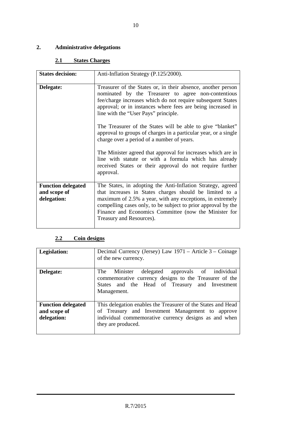## **2. Administrative delegations**

#### **2.1 States Charges**

| <b>States decision:</b>                                  | Anti-Inflation Strategy (P.125/2000).                                                                                                                                                                                                                                                                                                     |
|----------------------------------------------------------|-------------------------------------------------------------------------------------------------------------------------------------------------------------------------------------------------------------------------------------------------------------------------------------------------------------------------------------------|
| Delegate:                                                | Treasurer of the States or, in their absence, another person<br>nominated by the Treasurer to agree non-contentious<br>fee/charge increases which do not require subsequent States<br>approval; or in instances where fees are being increased in<br>line with the "User Pays" principle.                                                 |
|                                                          | The Treasurer of the States will be able to give "blanket"<br>approval to groups of charges in a particular year, or a single<br>charge over a period of a number of years.                                                                                                                                                               |
|                                                          | The Minister agreed that approval for increases which are in<br>line with statute or with a formula which has already<br>received States or their approval do not require further<br>approval.                                                                                                                                            |
| <b>Function delegated</b><br>and scope of<br>delegation: | The States, in adopting the Anti-Inflation Strategy, agreed<br>that increases in States charges should be limited to a<br>maximum of 2.5% a year, with any exceptions, in extremely<br>compelling cases only, to be subject to prior approval by the<br>Finance and Economics Committee (now the Minister for<br>Treasury and Resources). |

#### **2.2 Coin designs**

| Legislation:                                             | Decimal Currency (Jersey) Law 1971 – Article 3 – Coinage<br>of the new currency.                                                                                                                |
|----------------------------------------------------------|-------------------------------------------------------------------------------------------------------------------------------------------------------------------------------------------------|
| Delegate:                                                | The<br>delegated approvals of individual<br>Minister<br>commemorative currency designs to the Treasurer of the<br>States and the Head of Treasury and Investment<br>Management.                 |
| <b>Function delegated</b><br>and scope of<br>delegation: | This delegation enables the Treasurer of the States and Head<br>of Treasury and Investment Management to approve<br>individual commemorative currency designs as and when<br>they are produced. |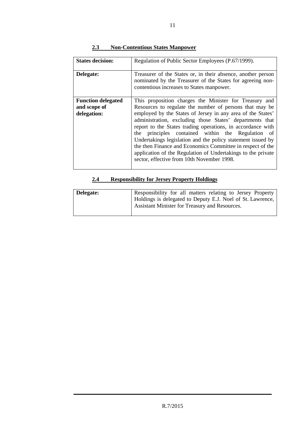| <b>States decision:</b>                                  | Regulation of Public Sector Employees (P.67/1999).                                                                                                                                                                                                                                                                                                                                                                                                                                                                                                                                                          |
|----------------------------------------------------------|-------------------------------------------------------------------------------------------------------------------------------------------------------------------------------------------------------------------------------------------------------------------------------------------------------------------------------------------------------------------------------------------------------------------------------------------------------------------------------------------------------------------------------------------------------------------------------------------------------------|
| Delegate:                                                | Treasurer of the States or, in their absence, another person<br>nominated by the Treasurer of the States for agreeing non-<br>contentious increases to States manpower.                                                                                                                                                                                                                                                                                                                                                                                                                                     |
| <b>Function delegated</b><br>and scope of<br>delegation: | This proposition charges the Minister for Treasury and<br>Resources to regulate the number of persons that may be<br>employed by the States of Jersey in any area of the States'<br>administration, excluding those States' departments that<br>report to the States trading operations, in accordance with<br>the principles contained within the Regulation of<br>Undertakings legislation and the policy statement issued by<br>the then Finance and Economics Committee in respect of the<br>application of the Regulation of Undertakings to the private<br>sector, effective from 10th November 1998. |

#### **2.3 Non-Contentious States Manpower**

#### **2.4 Responsibility for Jersey Property Holdings**

| Delegate: | Responsibility for all matters relating to Jersey Property                                                   |
|-----------|--------------------------------------------------------------------------------------------------------------|
|           | Holdings is delegated to Deputy E.J. Noel of St. Lawrence,<br>Assistant Minister for Treasury and Resources. |
|           |                                                                                                              |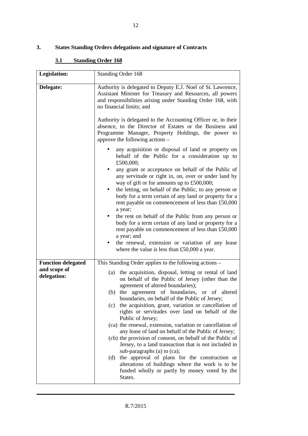#### **3. States Standing Orders delegations and signature of Contracts**

#### **3.1 Standing Order 168**

| Legislation:                                             | Standing Order 168                                                                                                                                                                                                                                                                                                                                                                                                                                                                                                                                                                                                                                                                                                                                                                                                                                                                                           |
|----------------------------------------------------------|--------------------------------------------------------------------------------------------------------------------------------------------------------------------------------------------------------------------------------------------------------------------------------------------------------------------------------------------------------------------------------------------------------------------------------------------------------------------------------------------------------------------------------------------------------------------------------------------------------------------------------------------------------------------------------------------------------------------------------------------------------------------------------------------------------------------------------------------------------------------------------------------------------------|
| Delegate:                                                | Authority is delegated to Deputy E.J. Noel of St. Lawrence,<br>Assistant Minister for Treasury and Resources, all powers<br>and responsibilities arising under Standing Order 168, with<br>no financial limits; and<br>Authority is delegated to the Accounting Officer or, in their<br>absence, to the Director of Estates or the Business and<br>Programme Manager, Property Holdings, the power to<br>approve the following actions -                                                                                                                                                                                                                                                                                                                                                                                                                                                                     |
|                                                          | any acquisition or disposal of land or property on<br>behalf of the Public for a consideration up to<br>£500,000;<br>any grant or acceptance on behalf of the Public of<br>any servitude or right in, on, over or under land by<br>way of gift or for amounts up to £500,000;<br>the letting, on behalf of the Public, to any person or<br>body for a term certain of any land or property for a<br>rent payable on commencement of less than £50,000<br>a year;<br>the rent on behalf of the Public from any person or<br>٠<br>body for a term certain of any land or property for a<br>rent payable on commencement of less than £50,000<br>a year; and<br>the renewal, extension or variation of any lease<br>where the value is less than $£50,000$ a year.                                                                                                                                              |
| <b>Function delegated</b><br>and scope of<br>delegation: | This Standing Order applies to the following actions -<br>(a) the acquisition, disposal, letting or rental of land<br>on behalf of the Public of Jersey (other than the<br>agreement of altered boundaries);<br>the agreement of boundaries, or of altered<br>(b)<br>boundaries, on behalf of the Public of Jersey;<br>the acquisition, grant, variation or cancellation of<br>(c)<br>rights or servitudes over land on behalf of the<br>Public of Jersey;<br>(ca) the renewal, extension, variation or cancellation of<br>any lease of land on behalf of the Public of Jersey;<br>(cb) the provision of consent, on behalf of the Public of<br>Jersey, to a land transaction that is not included in<br>sub-paragraphs (a) to (ca);<br>the approval of plans for the construction or<br>(d)<br>alterations of buildings where the work is to be<br>funded wholly or partly by money voted by the<br>States. |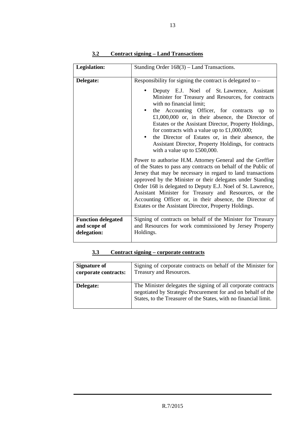| <b>Legislation:</b>                                      | Standing Order $168(3)$ – Land Transactions.                                                                                                                                                                                                                                                                                                                                                                                                                                                                                                                |
|----------------------------------------------------------|-------------------------------------------------------------------------------------------------------------------------------------------------------------------------------------------------------------------------------------------------------------------------------------------------------------------------------------------------------------------------------------------------------------------------------------------------------------------------------------------------------------------------------------------------------------|
| Delegate:                                                | Responsibility for signing the contract is delegated to -<br>Deputy E.J. Noel of St. Lawrence, Assistant<br>Minister for Treasury and Resources, for contracts<br>with no financial limit;<br>the Accounting Officer, for contracts up<br>to<br>£1,000,000 or, in their absence, the Director of<br>Estates or the Assistant Director, Property Holdings,<br>for contracts with a value up to $£1,000,000;$<br>the Director of Estates or, in their absence, the<br>Assistant Director, Property Holdings, for contracts<br>with a value up to $£500,000$ . |
|                                                          | Power to authorise H.M. Attorney General and the Greffier<br>of the States to pass any contracts on behalf of the Public of<br>Jersey that may be necessary in regard to land transactions<br>approved by the Minister or their delegates under Standing<br>Order 168 is delegated to Deputy E.J. Noel of St. Lawrence,<br>Assistant Minister for Treasury and Resources, or the<br>Accounting Officer or, in their absence, the Director of<br>Estates or the Assistant Director, Property Holdings.                                                       |
| <b>Function delegated</b><br>and scope of<br>delegation: | Signing of contracts on behalf of the Minister for Treasury<br>and Resources for work commissioned by Jersey Property<br>Holdings.                                                                                                                                                                                                                                                                                                                                                                                                                          |

#### **3.2 Contract signing – Land Transactions**

#### **3.3 Contract signing – corporate contracts**

| <b>Signature of</b>  | Signing of corporate contracts on behalf of the Minister for                                                                                                                                      |
|----------------------|---------------------------------------------------------------------------------------------------------------------------------------------------------------------------------------------------|
| corporate contracts: | Treasury and Resources.                                                                                                                                                                           |
| Delegate:            | The Minister delegates the signing of all corporate contracts<br>negotiated by Strategic Procurement for and on behalf of the<br>States, to the Treasurer of the States, with no financial limit. |